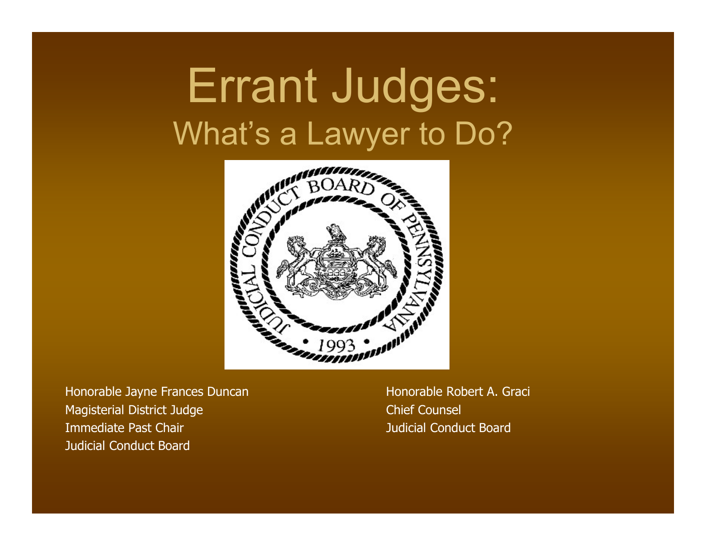## Errant Judges: What's a Lawyer to Do?



Honorable Jayne Frances Duncan Honorable Robert A. Graci Magisterial District Judge Chief Counsel **Immediate Past Chair Chair Access 2008** and 2009 and 2009 and 2009 and 2009 and 2009 and 2009 and 2009 and 2009 and Judicial Conduct Board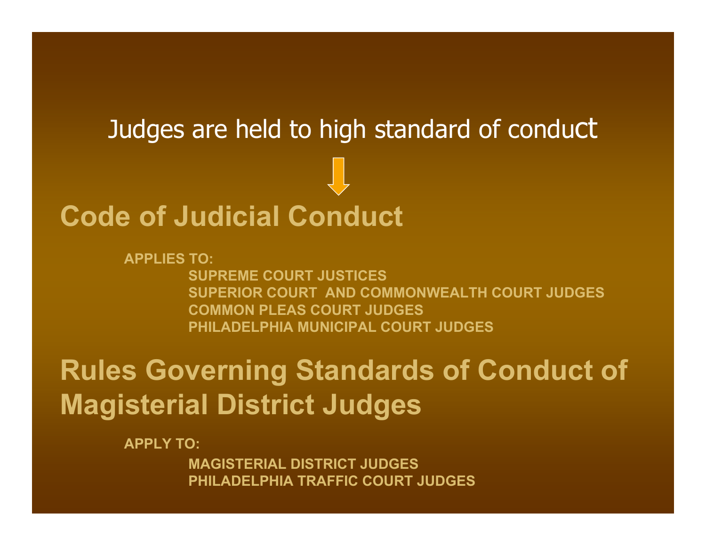# **Code of Judicial Conduct** Judges are held to high standard of conduct

**APPLIES TO:SUPREME COURT JUSTICES SUPERIOR COURT AND COMMONWEALTH COURT JUDGESCOMMON PLEAS COURT JUDGESPHILADELPHIA MUNICIPAL COURT JUDGES**

#### **Rules Governing Standards of Conduct of Magisterial District Judges**

**APPLY TO:**

**MAGISTERIAL DISTRICT JUDGESPHILADELPHIA TRAFFIC COURT JUDGES**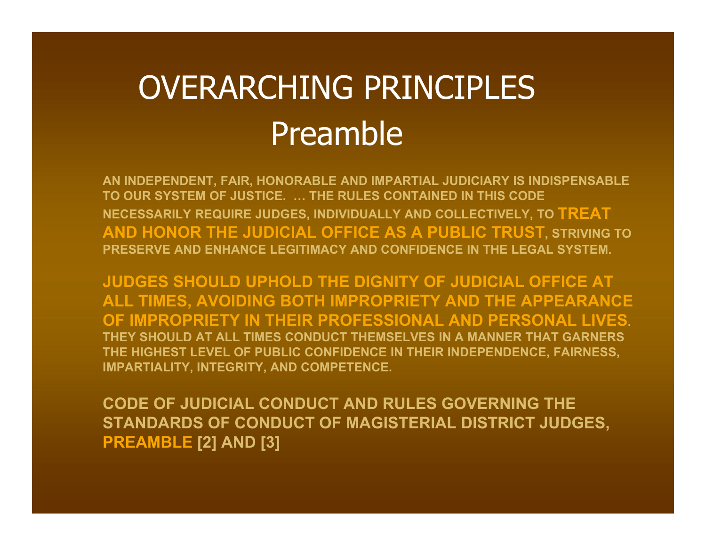### OVERARCHING PRINCIPLESPreamble

**AN INDEPENDENT, FAIR, HONORABLE AND IMPARTIAL JUDICIARY IS INDISPENSABLE TO OUR SYSTEM OF JUSTICE. … THE RULES CONTAINED IN THIS CODE NECESSARILY REQUIRE JUDGES, INDIVIDUALLY AND COLLECTIVELY, TO TREAT AND HONOR THE JUDICIAL OFFICE AS A PUBLIC TRUST, STRIVING TO PRESERVE AND ENHANCE LEGITIMACY AND CONFIDENCE IN THE LEGAL SYSTEM.** 

**JUDGES SHOULD UPHOLD THE DIGNITY OF JUDICIAL OFFICE AT ALL TIMES, AVOIDING BOTH IMPROPRIETY AND THE APPEARANCE OF IMPROPRIETY IN THEIR PROFESSIONAL AND PERSONAL LIVES. THEY SHOULD AT ALL TIMES CONDUCT THEMSELVES IN A MANNER THAT GARNERS THE HIGHEST LEVEL OF PUBLIC CONFIDENCE IN THEIR INDEPENDENCE, FAIRNESS, IMPARTIALITY, INTEGRITY, AND COMPETENCE.** 

**CODE OF JUDICIAL CONDUCT AND RULES GOVERNING THE STANDARDS OF CONDUCT OF MAGISTERIAL DISTRICT JUDGES, PREAMBLE [2] AND [3]**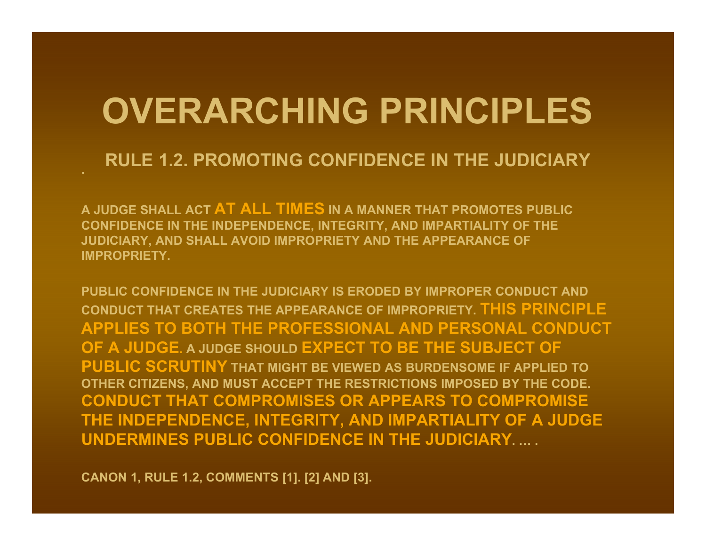### **OVERARCHING PRINCIPLES**

#### **RULE 1.2. PROMOTING CONFIDENCE IN THE JUDICIARY**

**A JUDGE SHALL ACT AT ALL TIMES IN A MANNER THAT PROMOTES PUBLIC CONFIDENCE IN THE INDEPENDENCE, INTEGRITY, AND IMPARTIALITY OF THE JUDICIARY, AND SHALL AVOID IMPROPRIETY AND THE APPEARANCE OF IMPROPRIETY.**

**PUBLIC CONFIDENCE IN THE JUDICIARY IS ERODED BY IMPROPER CONDUCT AND CONDUCT THAT CREATES THE APPEARANCE OF IMPROPRIETY. THIS PRINCIPLE APPLIES TO BOTH THE PROFESSIONAL AND PERSONAL CONDUCT OF A JUDGE. A JUDGE SHOULD EXPECT TO BE THE SUBJECT OF PUBLIC SCRUTINY THAT MIGHT BE VIEWED AS BURDENSOME IF APPLIED TO OTHER CITIZENS, AND MUST ACCEPT THE RESTRICTIONS IMPOSED BY THE CODE. CONDUCT THAT COMPROMISES OR APPEARS TO COMPROMISE THE INDEPENDENCE, INTEGRITY, AND IMPARTIALITY OF A JUDGE UNDERMINES PUBLIC CONFIDENCE IN THE JUDICIARY. … .**

**CANON 1, RULE 1.2, COMMENTS [1]. [2] AND [3].**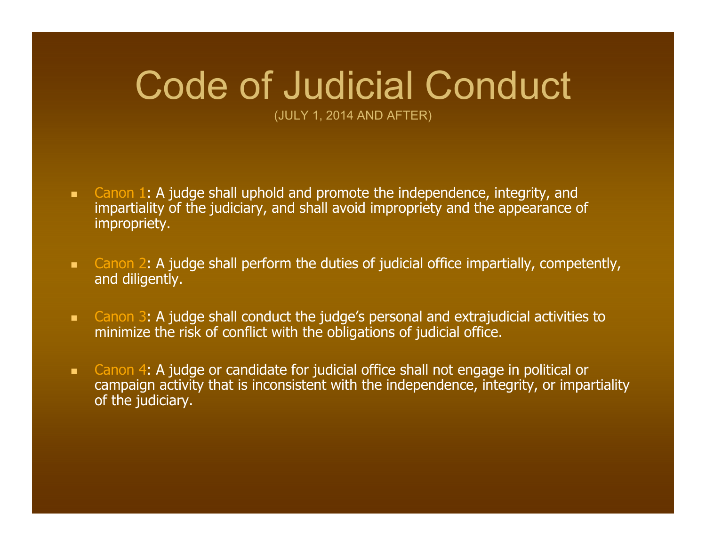## Code of Judicial Conduct

(JULY 1, 2014 AND AFTER)

- $\mathbf{R}^{\text{max}}$  Canon 1: A judge shall uphold and promote the independence, integrity, and impartiality of the judiciary, and shall avoid impropriety and the appearance of impropriety.
- **EXT** Canon 2: A judge shall perform the duties of judicial office impartially, competently, and diligently.
- $\mathbf{R}^{(1)}$  Canon 3: A judge shall conduct the judge's personal and extrajudicial activities to minimize the risk of conflict with the obligations of judicial office.
- $\blacksquare$  Canon 4: A judge or candidate for judicial office shall not engage in political or campaign activity that is inconsistent with the independence, integrity, or impartiality of the judiciary.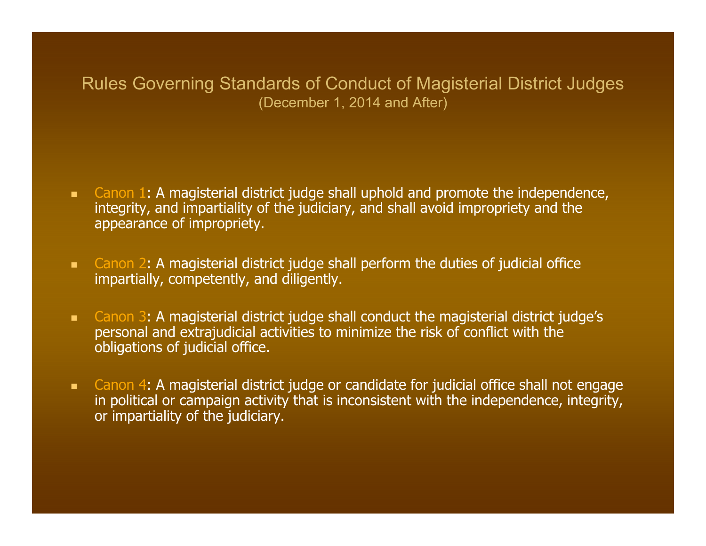#### Rules Governing Standards of Conduct of Magisterial District Judges (December 1, 2014 and After)

- $\mathbf{u}$  Canon 1: A magisterial district judge shall uphold and promote the independence, integrity, and impartiality of the judiciary, and shall avoid impropriety and the appearance of impropriety.
- **EX0.** Canon 2: A magisterial district judge shall perform the duties of judicial office impartially, competently, and diligently.
- $\mathbf{R}^{\text{max}}$  Canon 3: A magisterial district judge shall conduct the magisterial district judge's personal and extrajudicial activities to minimize the risk of conflict with the obligations of judicial office.
- **EXT** Canon 4: A magisterial district judge or candidate for judicial office shall not engage in political or campaign activity that is inconsistent with the independence, integrity, or impartiality of the judiciary.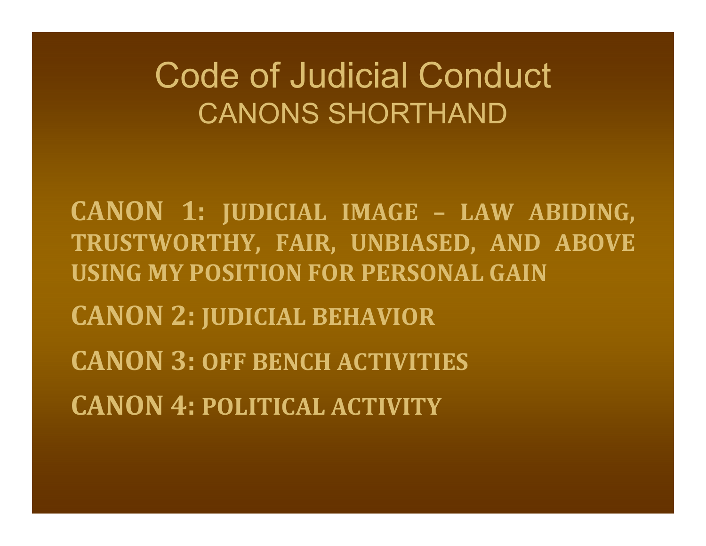### Code of Judicial Conduct CANONS SHORTHAND

**CANON 1: JUDICIAL IMAGE – LAW ABIDING, TRUSTWORTHY, FAIR, UNBIASED, AND ABOVE USING MY POSITION FOR PERSONAL GAINCANON 2: JUDICIAL BEHAVIOR CANON 3: OFF BENCH ACTIVITIESCANON 4: POLITICAL ACTIVITY**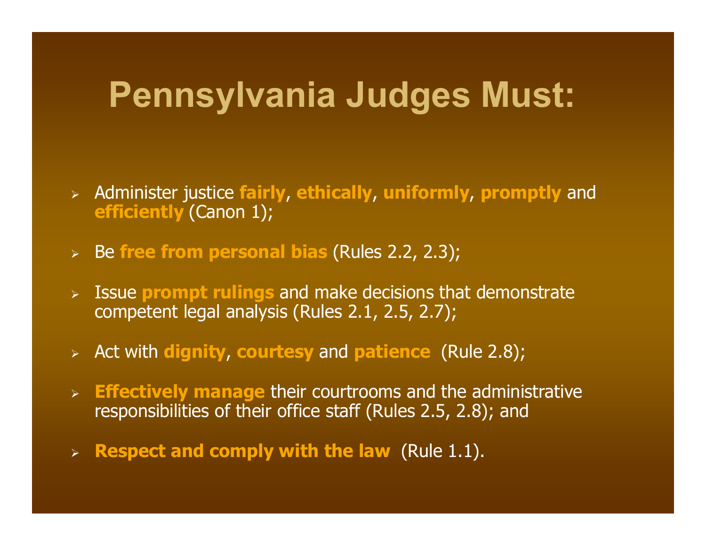### **Pennsylvania Judges Must:**

- Administer justice **fairly**, **ethically**, **uniformly**, **promptly** and **efficiently** (Canon 1);
- Be **free from personal bias** (Rules 2.2, 2.3);
- Issue **prompt rulings** and make decisions that demonstrate competent legal analysis (Rules 2.1, 2.5, 2.7);
- Act with **dignity**, **courtesy** and **patience** (Rule 2.8);
- **Effectively manage** their courtrooms and the administrative responsibilities of their office staff (Rules 2.5, 2.8); and
- **Respect and comply with the law** (Rule 1.1).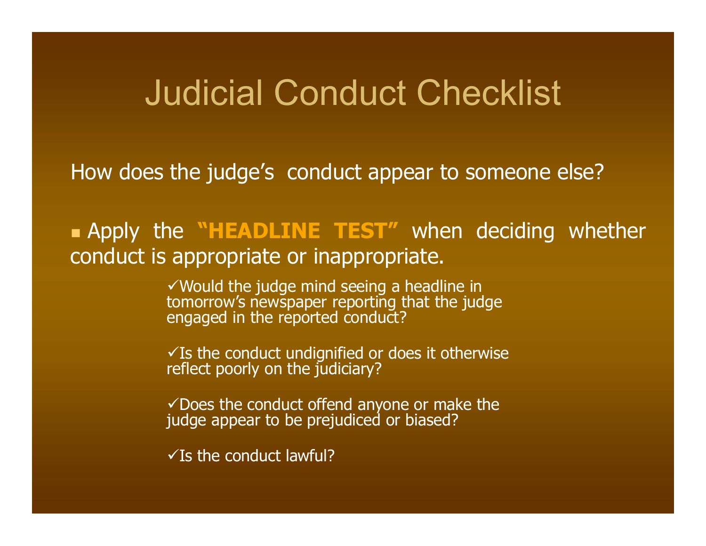### Judicial Conduct Checklist

How does the judge's conduct appear to someone else?

 Apply the **"HEADLINE TEST"** when deciding whether conduct is appropriate or inappropriate.

Would the judge mind seeing a headline in tomorrow's newspaper reporting that the judge engaged in the reported conduct?

 $\checkmark$  Is the conduct undignified or does it otherwise reflect poorly on the judiciary?

 $\checkmark$  Does the conduct offend anyone or make the judge appear to be prejudiced or biased?

 $\sqrt{}$  Is the conduct lawful?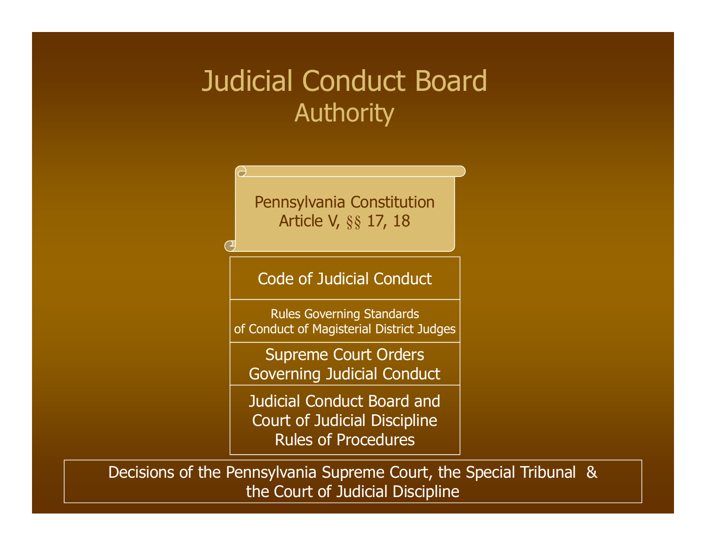#### Judicial Conduct Board **Authority**

Pennsylvania Constitution Article V, §§ 17, 18

 $\overline{\mathbf{C}}$ 

Code of Judicial Conduct

Rules Governing Standards of Conduct of Magisterial District Judges

Supreme Court Orders Governing Judicial Conduct

Judicial Conduct Board and Court of Judicial Discipline Rules of Procedures

Decisions of the Pennsylvania Supreme Court, the Special Tribunal & the Court of Judicial Discipline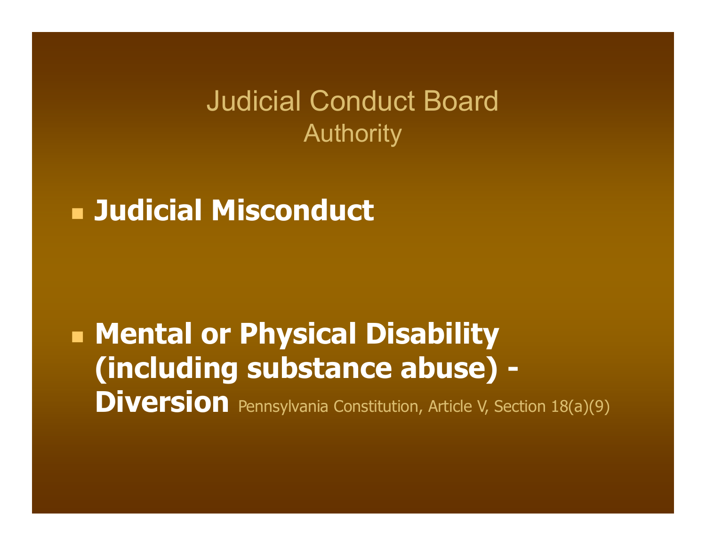Judicial Conduct Board **Authority** 

**Judicial Misconduct**

 **Mental or Physical Disability (including substance abuse) - Diversion** Pennsylvania Constitution, Article V, Section 18(a)(9)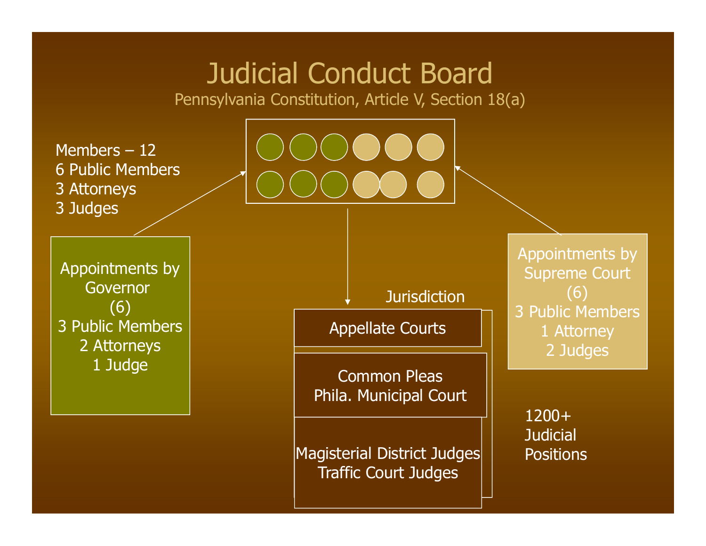#### Judicial Conduct Board

Pennsylvania Constitution, Article V, Section 18(a)

Members – 12 6 Public Members 3 Attorneys 3 Judges

Appointments by Governor (6) 3 Public Members 2 Attorneys 1 Judge

Jurisdiction

Appellate Courts

Common Pleas Phila. Municipal Court

Magisterial District Judges Traffic Court Judges

Appointments by Supreme Court (6) 3 Public Members 1 Attorney 2 Judges

1200+**Judicial Positions**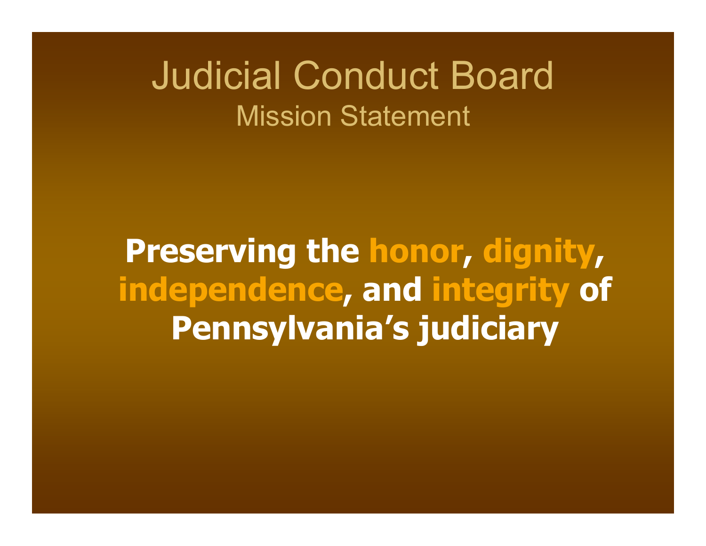### Judicial Conduct Board Mission Statement

**Preserving the honor, dignity, independence, and integrity of Pennsylvania's judiciary**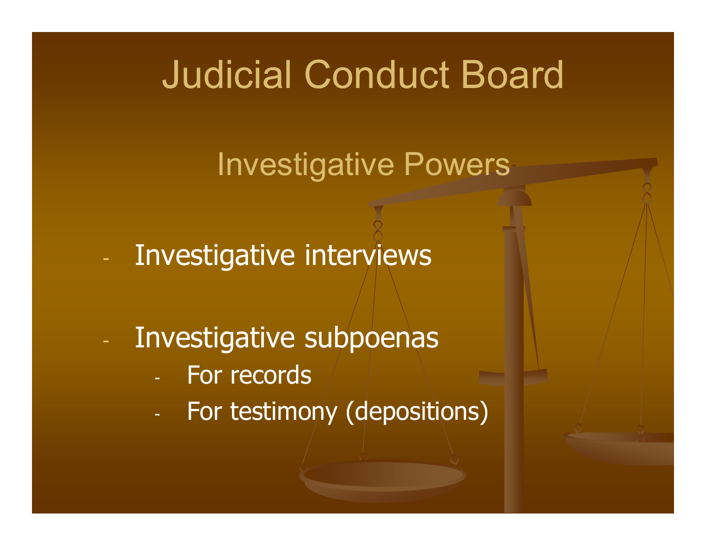### Judicial Conduct Board

### Investigative Powers

- Investigative interviews
- - Investigative subpoenas
	- For records
	- For testimony (depositions)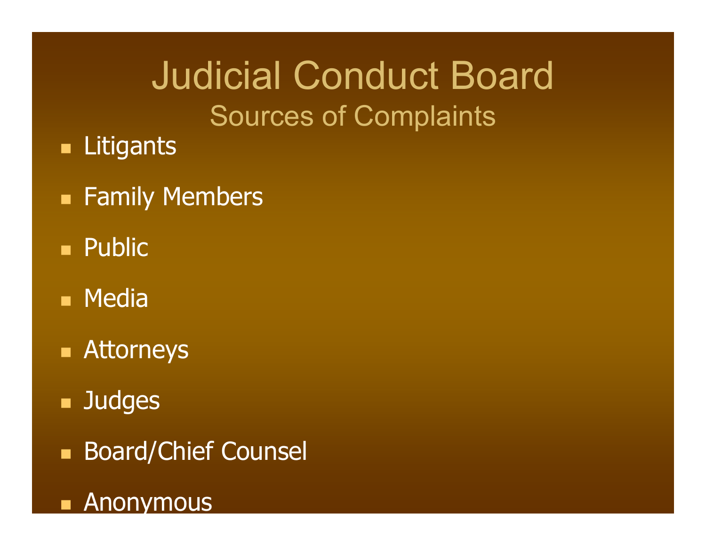## Judicial Conduct Board Sources of Complaints

- **Litigants**
- **Eamily Members**
- n. Public
- **Media**
- **Attorneys**
- $\blacksquare$ **Judges**
- $\blacksquare$ Board/Chief Counsel

#### e. Anonymous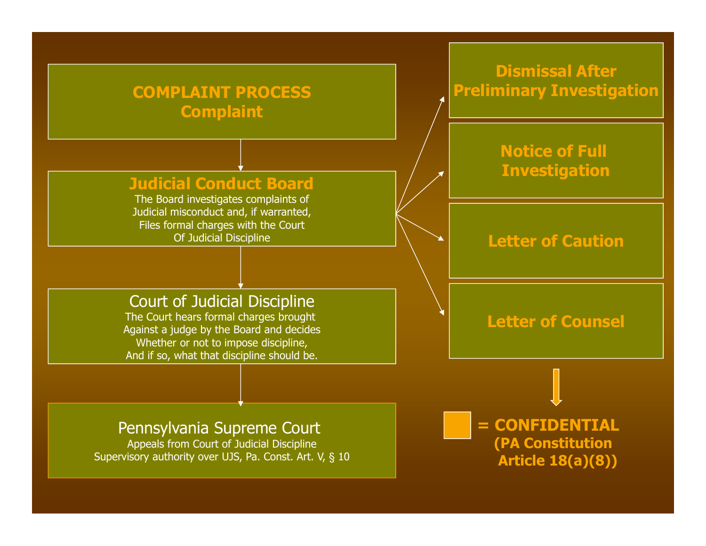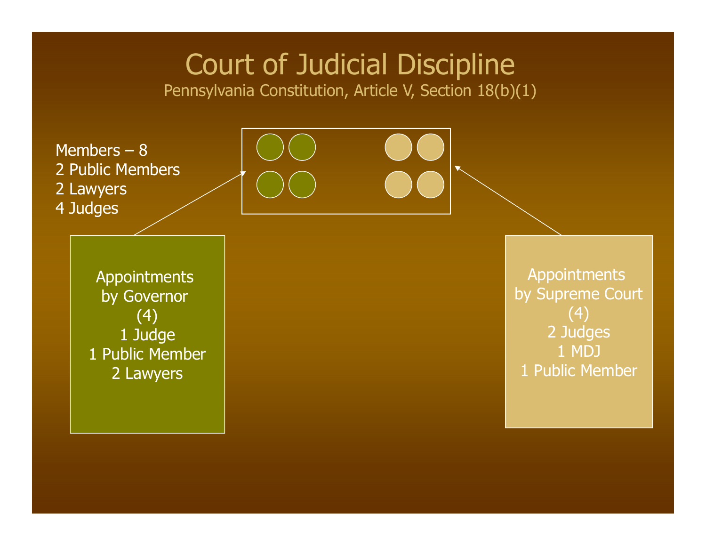#### Court of Judicial Discipline

Pennsylvania Constitution, Article V, Section 18(b)(1)

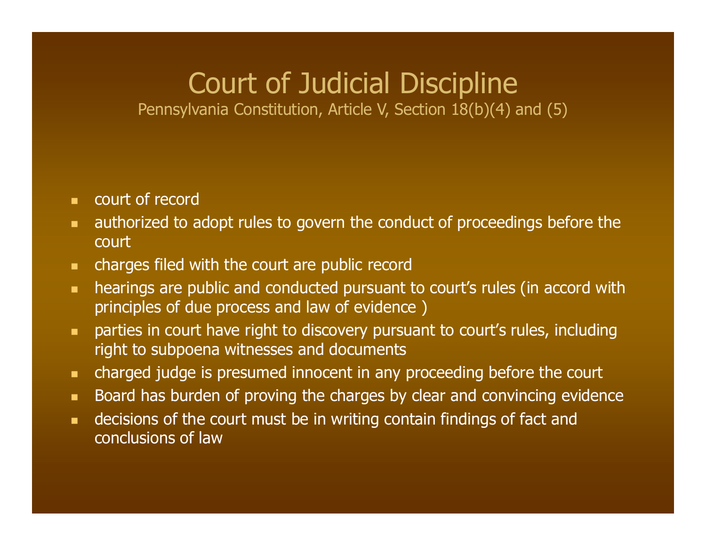#### Court of Judicial Discipline

Pennsylvania Constitution, Article V, Section 18(b)(4) and (5)

- **EXECOURDER COURT OF RECORD**
- $\blacksquare$  authorized to adopt rules to govern the conduct of proceedings before the court
- $\blacksquare$  . charges filed with the court are public record
- $\mathbf{u}$  . hearings are public and conducted pursuant to court's rules (in accord with principles of due process and law of evidence )
- $\blacksquare$  parties in court have right to discovery pursuant to court's rules, including right to subpoena witnesses and documents
- $\blacksquare$ charged judge is presumed innocent in any proceeding before the court
- $\blacksquare$ Board has burden of proving the charges by clear and convincing evidence
- $\mathbf{u}$  . decisions of the court must be in writing contain findings of fact and conclusions of law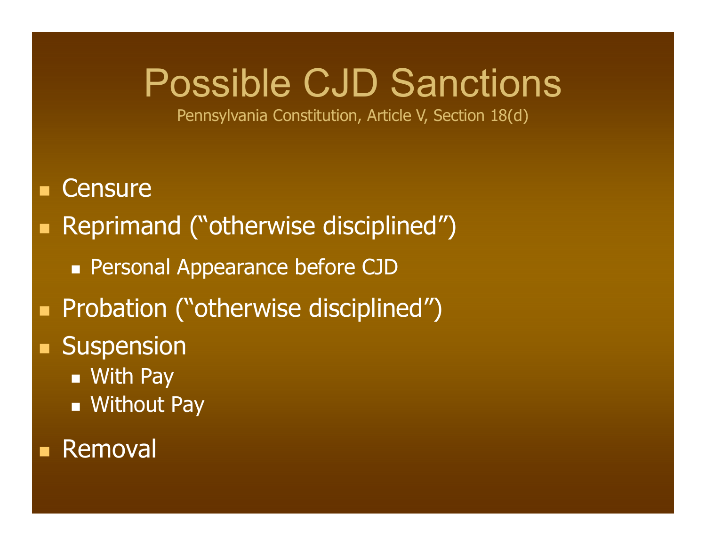### Possible CJD Sanctions

Pennsylvania Constitution, Article V, Section 18(d)

- Т, **Censure**
- Reprimand ("otherwise disciplined")
	- **Personal Appearance before CJD**
- **Probation ("otherwise disciplined")**
- **Suspension** 
	- With Pay
	- **Nithout Pay**

#### **Removal**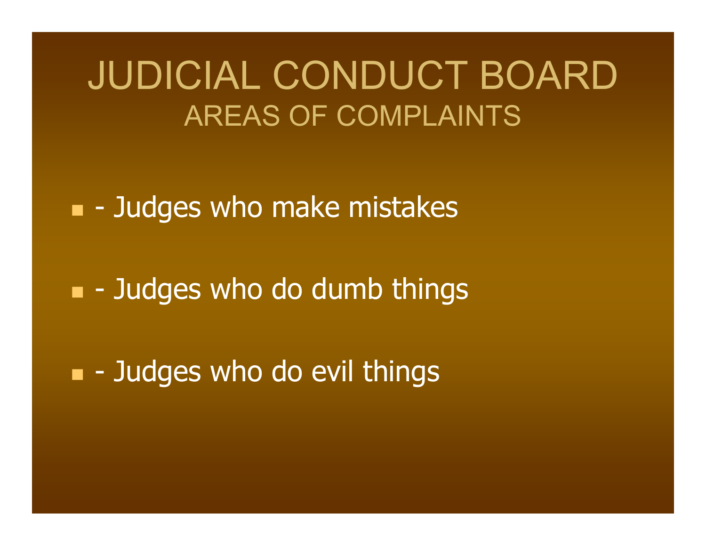### JUDICIAL CONDUCT BOARD AREAS OF COMPLAINTS

e<br>Maria **-** Judges who make mistakes

e<br>Maria  $\blacksquare$  - Judges who do dumb things

 $\blacksquare$  - Judges who do evil things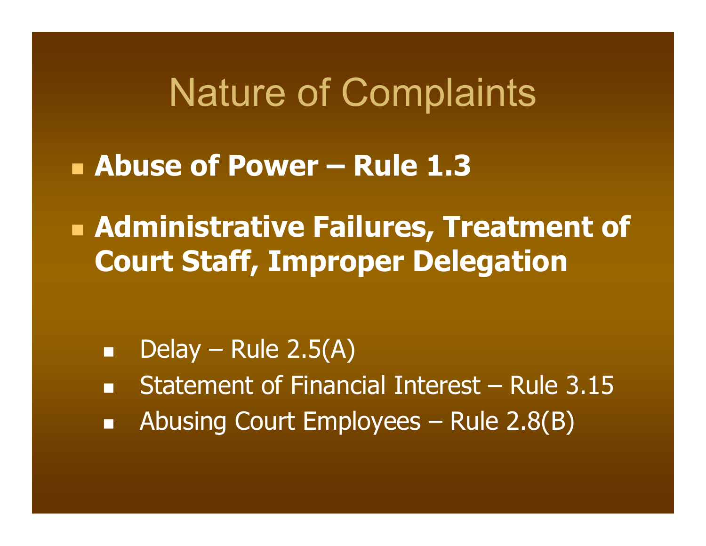**Abuse of Power – Rule 1.3**

 **Administrative Failures, Treatment of Court Staff, Improper Delegation**

- п Delay – Rule 2.5(A)
- m. Statement of Financial Interest – Rule 3.15
- $\blacksquare$ Abusing Court Employees – Rule 2.8(B)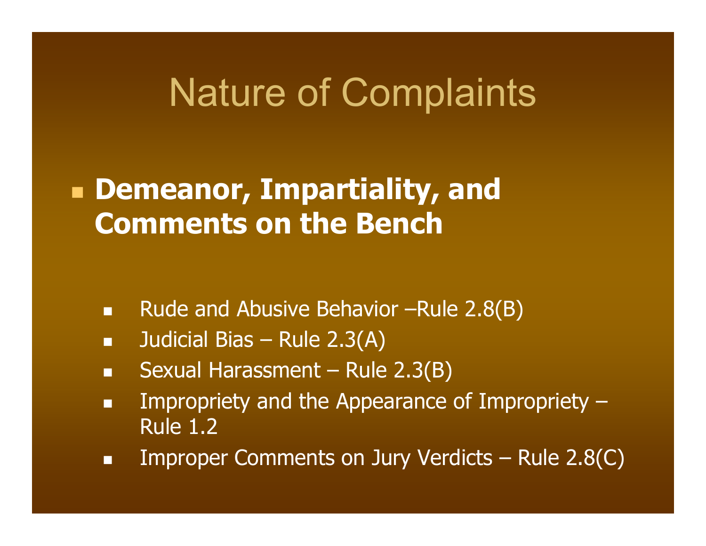#### **Demeanor, Impartiality, and Comments on the Bench**

- $\mathbf{m}$  . Rude and Abusive Behavior –Rule 2.8(B)
- $\blacksquare$ Judicial Bias – Rule 2.3(A)
- m. Sexual Harassment – Rule 2.3(B)
- $\blacksquare$  Impropriety and the Appearance of Impropriety – Rule 1.2
- п Improper Comments on Jury Verdicts – Rule 2.8(C)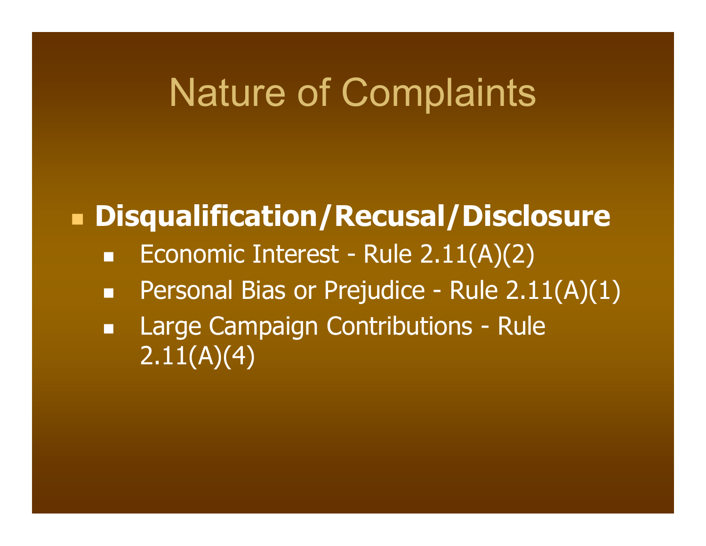#### **Disqualification/Recusal/Disclosure**

- $\Box$ Economic Interest - Rule 2.11(A)(2)
- п Personal Bias or Prejudice - Rule 2.11(A)(1)
- $\blacksquare$  Large Campaign Contributions - Rule 2.11(A)(4)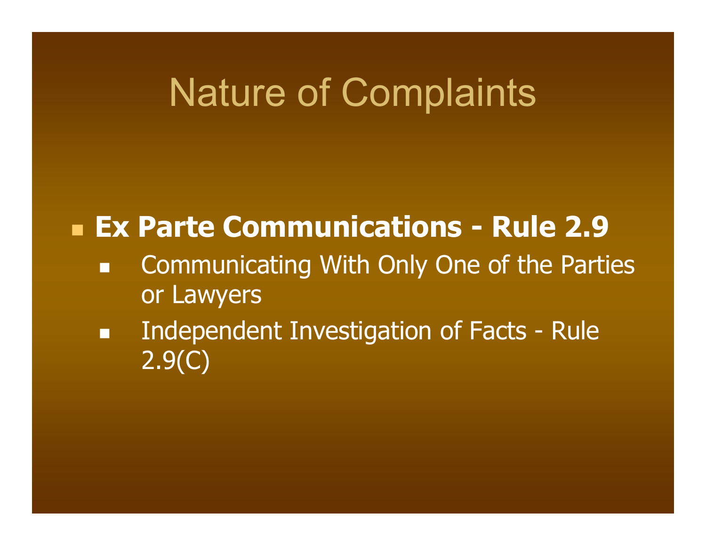#### **Ex Parte Communications - Rule 2.9**

- $\blacksquare$  Communicating With Only One of the Parties or Lawyers
- Œ Independent Investigation of Facts - Rule 2.9(C)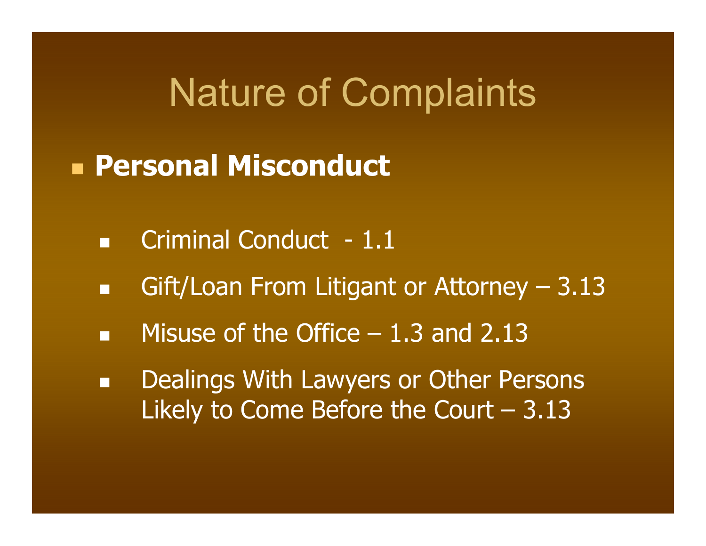#### **Personal Misconduct**

- $\blacksquare$ Criminal Conduct - 1.1
- п Gift/Loan From Litigant or Attorney – 3.13
- m. Misuse of the Office – 1.3 and 2.13
- $\blacksquare$  Dealings With Lawyers or Other Persons Likely to Come Before the Court  $-3.13$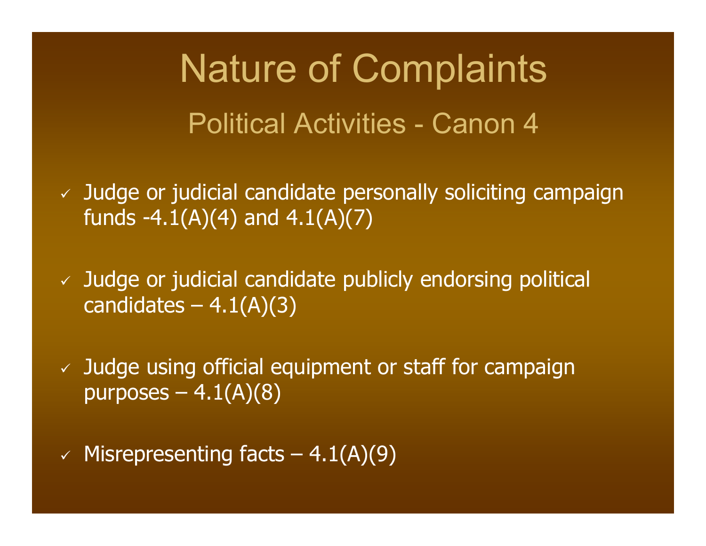Nature of Complaints Political Activities - Canon 4

 $\checkmark$  Judge or judicial candidate personally soliciting campaign funds  $-4.1(A)(4)$  and  $4.1(A)(7)$ 

 $\checkmark$  Judge or judicial candidate publicly endorsing political candidates  $-4.1(A)(3)$ 

 $\sqrt{2}$  Judge using official equipment or staff for campaign purposes  $-4.1(A)(8)$ 

 $\checkmark$  Misrepresenting facts – 4.1(A)(9)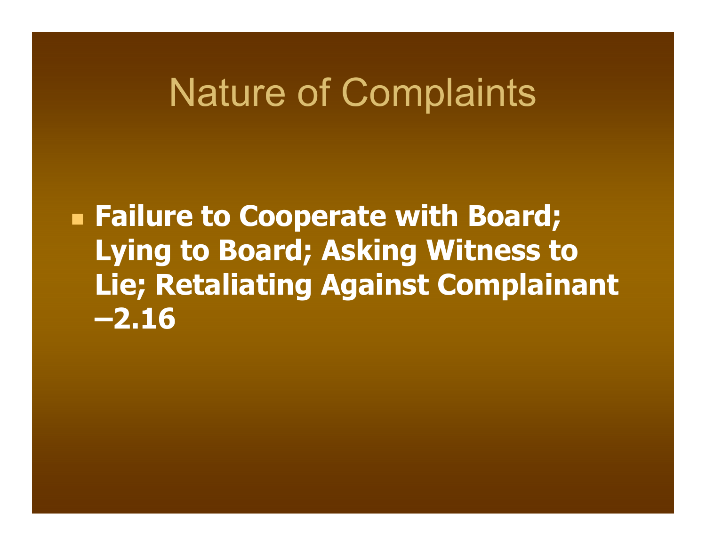**Failure to Cooperate with Board; Lying to Board; Asking Witness to Lie; Retaliating Against Complainant –2.16**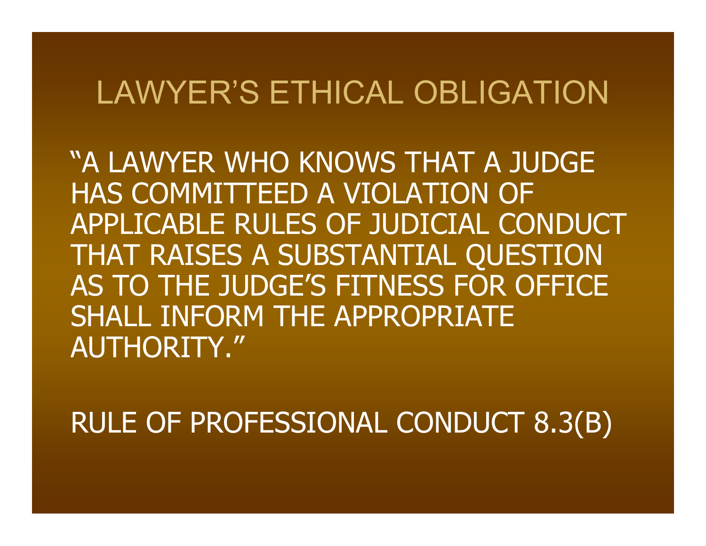#### LAWYER'S ETHICAL OBLIGATION

"A LAWYER WHO KNOWS THAT A JUDGE HAS COMMITTEED A VIOLATION OF APPLICABLE RULES OF JUDICIAL CONDUCT THAT RAISES A SUBSTANTIAL QUESTION AS TO THE JUDGE'S FITNESS FOR OFFICE SHALL INFORM THE APPROPRIATE AUTHORITY."

RULE OF PROFESSIONAL CONDUCT 8.3(B)